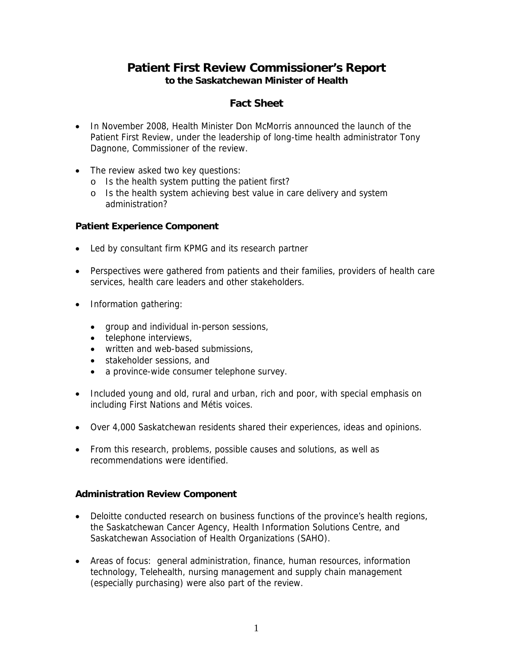# **Patient First Review Commissioner's Report to the Saskatchewan Minister of Health**

# **Fact Sheet**

- In November 2008, Health Minister Don McMorris announced the launch of the Patient First Review, under the leadership of long-time health administrator Tony Dagnone, Commissioner of the review.
- The review asked two key questions:
	- o Is the health system putting the patient first?
	- o Is the health system achieving best value in care delivery and system administration?

### **Patient Experience Component**

- Led by consultant firm KPMG and its research partner
- Perspectives were gathered from patients and their families, providers of health care services, health care leaders and other stakeholders.
- Information gathering:
	- group and individual in-person sessions,
	- **•** telephone interviews,
	- written and web-based submissions,
	- stakeholder sessions, and
	- a province-wide consumer telephone survey.
- Included young and old, rural and urban, rich and poor, with special emphasis on including First Nations and Métis voices.
- Over 4,000 Saskatchewan residents shared their experiences, ideas and opinions.
- From this research, problems, possible causes and solutions, as well as recommendations were identified.

#### **Administration Review Component**

- Deloitte conducted research on business functions of the province's health regions, the Saskatchewan Cancer Agency, Health Information Solutions Centre, and Saskatchewan Association of Health Organizations (SAHO).
- Areas of focus: general administration, finance, human resources, information technology, Telehealth, nursing management and supply chain management (especially purchasing) were also part of the review.